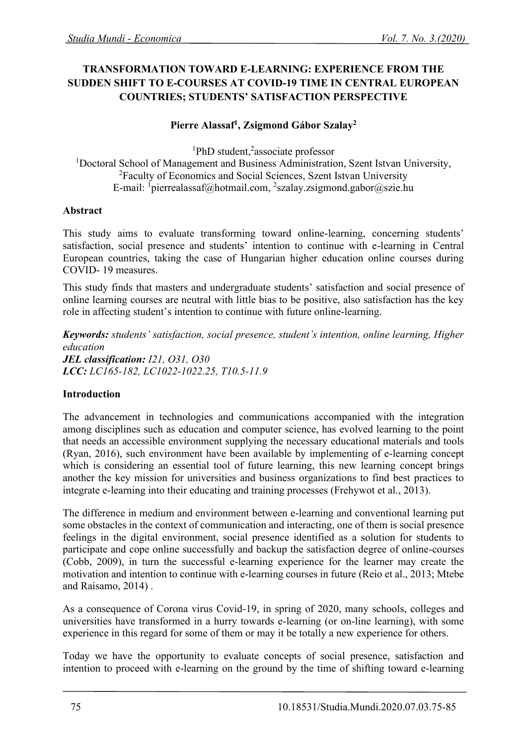# **TRANSFORMATION TOWARD E-LEARNING: EXPERIENCE FROM THE SUDDEN SHIFT TO E-COURSES AT COVID-19 TIME IN CENTRAL EUROPEAN COUNTRIES; STUDENTS' SATISFACTION PERSPECTIVE**

### **Pierre Alassaf<sup>1</sup> , Zsigmond Gábor Szalay<sup>2</sup>**

<sup>1</sup>PhD student,<sup>2</sup>associate professor <sup>1</sup>Doctoral School of Management and Business Administration, Szent Istvan University, <sup>2</sup>Faculty of Economics and Social Sciences, Szent Istvan University E-mail: <sup>1</sup>pierrealassaf@hotmail.com, <sup>2</sup>szalay.zsigmond.gabor@szie.hu

#### **Abstract**

This study aims to evaluate transforming toward online-learning, concerning students' satisfaction, social presence and students' intention to continue with e-learning in Central European countries, taking the case of Hungarian higher education online courses during COVID- 19 measures.

This study finds that masters and undergraduate students' satisfaction and social presence of online learning courses are neutral with little bias to be positive, also satisfaction has the key role in affecting student's intention to continue with future online-learning.

*Keywords: students' satisfaction, social presence, student's intention, online learning, Higher education JEL classification: I21, O31, O30 LCC: LC165-182, LC1022-1022.25, T10.5-11.9*

#### **Introduction**

The advancement in technologies and communications accompanied with the integration among disciplines such as education and computer science, has evolved learning to the point that needs an accessible environment supplying the necessary educational materials and tools (Ryan, 2016), such environment have been available by implementing of e-learning concept which is considering an essential tool of future learning, this new learning concept brings another the key mission for universities and business organizations to find best practices to integrate e-learning into their educating and training processes (Frehywot et al., 2013).

The difference in medium and environment between e-learning and conventional learning put some obstacles in the context of communication and interacting, one of them is social presence feelings in the digital environment, social presence identified as a solution for students to participate and cope online successfully and backup the satisfaction degree of online-courses (Cobb, 2009), in turn the successful e-learning experience for the learner may create the motivation and intention to continue with e-learning courses in future (Reio et al., 2013; Mtebe and Raisamo, 2014) .

As a consequence of Corona virus Covid-19, in spring of 2020, many schools, colleges and universities have transformed in a hurry towards e-learning (or on-line learning), with some experience in this regard for some of them or may it be totally a new experience for others.

Today we have the opportunity to evaluate concepts of social presence, satisfaction and intention to proceed with e-learning on the ground by the time of shifting toward e-learning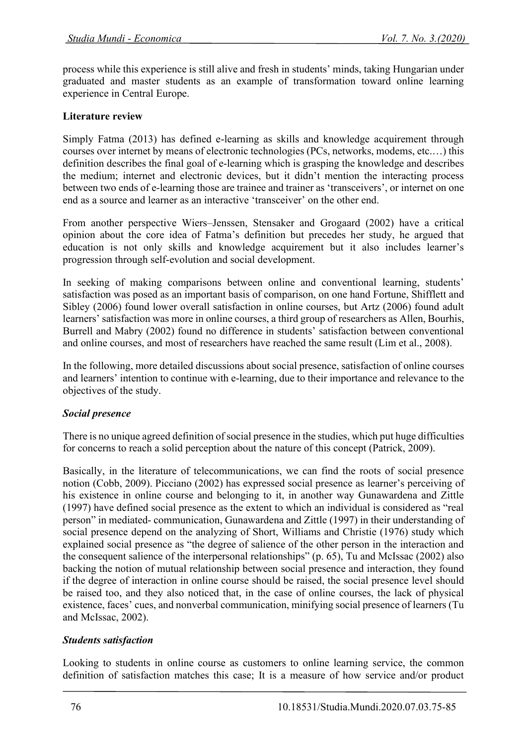process while this experience is still alive and fresh in students' minds, taking Hungarian under graduated and master students as an example of transformation toward online learning experience in Central Europe.

### **Literature review**

Simply Fatma (2013) has defined e-learning as skills and knowledge acquirement through courses over internet by means of electronic technologies (PCs, networks, modems, etc.…) this definition describes the final goal of e-learning which is grasping the knowledge and describes the medium; internet and electronic devices, but it didn't mention the interacting process between two ends of e-learning those are trainee and trainer as 'transceivers', or internet on one end as a source and learner as an interactive 'transceiver' on the other end.

From another perspective Wiers–Jenssen, Stensaker and Grogaard (2002) have a critical opinion about the core idea of Fatma's definition but precedes her study, he argued that education is not only skills and knowledge acquirement but it also includes learner's progression through self-evolution and social development.

In seeking of making comparisons between online and conventional learning, students' satisfaction was posed as an important basis of comparison, on one hand Fortune, Shifflett and Sibley (2006) found lower overall satisfaction in online courses, but Artz (2006) found adult learners' satisfaction was more in online courses, a third group of researchers as Allen, Bourhis, Burrell and Mabry (2002) found no difference in students' satisfaction between conventional and online courses, and most of researchers have reached the same result (Lim et al., 2008).

In the following, more detailed discussions about social presence, satisfaction of online courses and learners' intention to continue with e-learning, due to their importance and relevance to the objectives of the study.

#### *Social presence*

There is no unique agreed definition of social presence in the studies, which put huge difficulties for concerns to reach a solid perception about the nature of this concept (Patrick, 2009).

Basically, in the literature of telecommunications, we can find the roots of social presence notion (Cobb, 2009). Picciano (2002) has expressed social presence as learner's perceiving of his existence in online course and belonging to it, in another way Gunawardena and Zittle (1997) have defined social presence as the extent to which an individual is considered as "real person" in mediated- communication, Gunawardena and Zittle (1997) in their understanding of social presence depend on the analyzing of Short, Williams and Christie (1976) study which explained social presence as "the degree of salience of the other person in the interaction and the consequent salience of the interpersonal relationships" (p. 65), Tu and McIssac (2002) also backing the notion of mutual relationship between social presence and interaction, they found if the degree of interaction in online course should be raised, the social presence level should be raised too, and they also noticed that, in the case of online courses, the lack of physical existence, faces' cues, and nonverbal communication, minifying social presence of learners (Tu and McIssac, 2002).

#### *Students satisfaction*

Looking to students in online course as customers to online learning service, the common definition of satisfaction matches this case; It is a measure of how service and/or product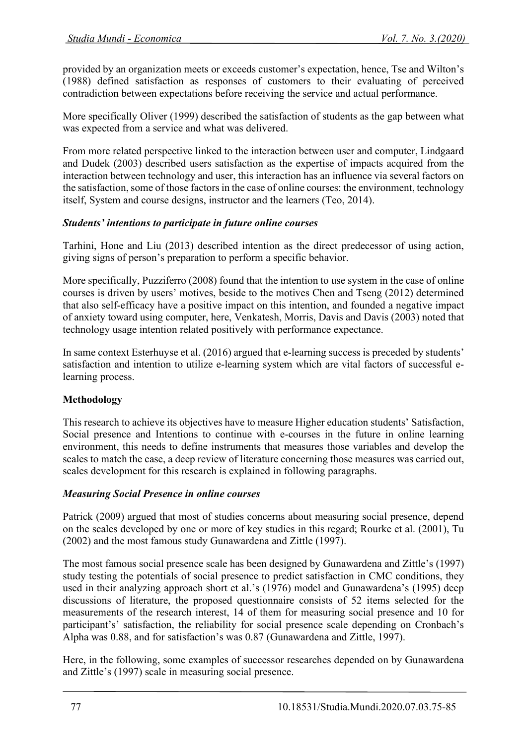provided by an organization meets or exceeds customer's expectation, hence, Tse and Wilton's (1988) defined satisfaction as responses of customers to their evaluating of perceived contradiction between expectations before receiving the service and actual performance.

More specifically Oliver (1999) described the satisfaction of students as the gap between what was expected from a service and what was delivered.

From more related perspective linked to the interaction between user and computer, Lindgaard and Dudek (2003) described users satisfaction as the expertise of impacts acquired from the interaction between technology and user, this interaction has an influence via several factors on the satisfaction, some of those factors in the case of online courses: the environment, technology itself, System and course designs, instructor and the learners (Teo, 2014).

### *Students' intentions to participate in future online courses*

Tarhini, Hone and Liu (2013) described intention as the direct predecessor of using action, giving signs of person's preparation to perform a specific behavior.

More specifically, Puzziferro (2008) found that the intention to use system in the case of online courses is driven by users' motives, beside to the motives Chen and Tseng (2012) determined that also self-efficacy have a positive impact on this intention, and founded a negative impact of anxiety toward using computer, here, Venkatesh, Morris, Davis and Davis (2003) noted that technology usage intention related positively with performance expectance.

In same context Esterhuyse et al. (2016) argued that e-learning success is preceded by students' satisfaction and intention to utilize e-learning system which are vital factors of successful elearning process.

## **Methodology**

This research to achieve its objectives have to measure Higher education students' Satisfaction, Social presence and Intentions to continue with e-courses in the future in online learning environment, this needs to define instruments that measures those variables and develop the scales to match the case, a deep review of literature concerning those measures was carried out, scales development for this research is explained in following paragraphs.

## *Measuring Social Presence in online courses*

Patrick (2009) argued that most of studies concerns about measuring social presence, depend on the scales developed by one or more of key studies in this regard; Rourke et al. (2001), Tu (2002) and the most famous study Gunawardena and Zittle (1997).

The most famous social presence scale has been designed by Gunawardena and Zittle's (1997) study testing the potentials of social presence to predict satisfaction in CMC conditions, they used in their analyzing approach short et al.'s (1976) model and Gunawardena's (1995) deep discussions of literature, the proposed questionnaire consists of 52 items selected for the measurements of the research interest, 14 of them for measuring social presence and 10 for participant's' satisfaction, the reliability for social presence scale depending on Cronbach's Alpha was 0.88, and for satisfaction's was 0.87 (Gunawardena and Zittle, 1997).

Here, in the following, some examples of successor researches depended on by Gunawardena and Zittle's (1997) scale in measuring social presence.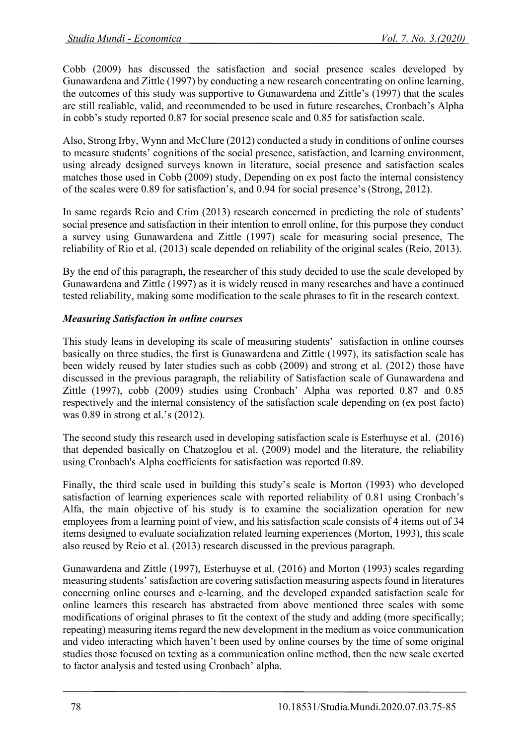Cobb (2009) has discussed the satisfaction and social presence scales developed by Gunawardena and Zittle (1997) by conducting a new research concentrating on online learning, the outcomes of this study was supportive to Gunawardena and Zittle's (1997) that the scales are still realiable, valid, and recommended to be used in future researches, Cronbach's Alpha in cobb's study reported 0.87 for social presence scale and 0.85 for satisfaction scale.

Also, Strong Irby, Wynn and McClure (2012) conducted a study in conditions of online courses to measure students' cognitions of the social presence, satisfaction, and learning environment, using already designed surveys known in literature, social presence and satisfaction scales matches those used in Cobb (2009) study, Depending on ex post facto the internal consistency of the scales were 0.89 for satisfaction's, and 0.94 for social presence's (Strong, 2012).

In same regards Reio and Crim (2013) research concerned in predicting the role of students' social presence and satisfaction in their intention to enroll online, for this purpose they conduct a survey using Gunawardena and Zittle (1997) scale for measuring social presence, The reliability of Rio et al. (2013) scale depended on reliability of the original scales (Reio, 2013).

By the end of this paragraph, the researcher of this study decided to use the scale developed by Gunawardena and Zittle (1997) as it is widely reused in many researches and have a continued tested reliability, making some modification to the scale phrases to fit in the research context.

# *Measuring Satisfaction in online courses*

This study leans in developing its scale of measuring students' satisfaction in online courses basically on three studies, the first is Gunawardena and Zittle (1997), its satisfaction scale has been widely reused by later studies such as cobb (2009) and strong et al. (2012) those have discussed in the previous paragraph, the reliability of Satisfaction scale of Gunawardena and Zittle (1997), cobb (2009) studies using Cronbach' Alpha was reported 0.87 and 0.85 respectively and the internal consistency of the satisfaction scale depending on (ex post facto) was 0.89 in strong et al.'s (2012).

The second study this research used in developing satisfaction scale is Esterhuyse et al. (2016) that depended basically on Chatzoglou et al. (2009) model and the literature, the reliability using Cronbach's Alpha coefficients for satisfaction was reported 0.89.

Finally, the third scale used in building this study's scale is Morton (1993) who developed satisfaction of learning experiences scale with reported reliability of 0.81 using Cronbach's Alfa, the main objective of his study is to examine the socialization operation for new employees from a learning point of view, and his satisfaction scale consists of 4 items out of 34 items designed to evaluate socialization related learning experiences (Morton, 1993), this scale also reused by Reio et al. (2013) research discussed in the previous paragraph.

Gunawardena and Zittle (1997), Esterhuyse et al. (2016) and Morton (1993) scales regarding measuring students' satisfaction are covering satisfaction measuring aspects found in literatures concerning online courses and e-learning, and the developed expanded satisfaction scale for online learners this research has abstracted from above mentioned three scales with some modifications of original phrases to fit the context of the study and adding (more specifically; repeating) measuring items regard the new development in the medium as voice communication and video interacting which haven't been used by online courses by the time of some original studies those focused on texting as a communication online method, then the new scale exerted to factor analysis and tested using Cronbach' alpha.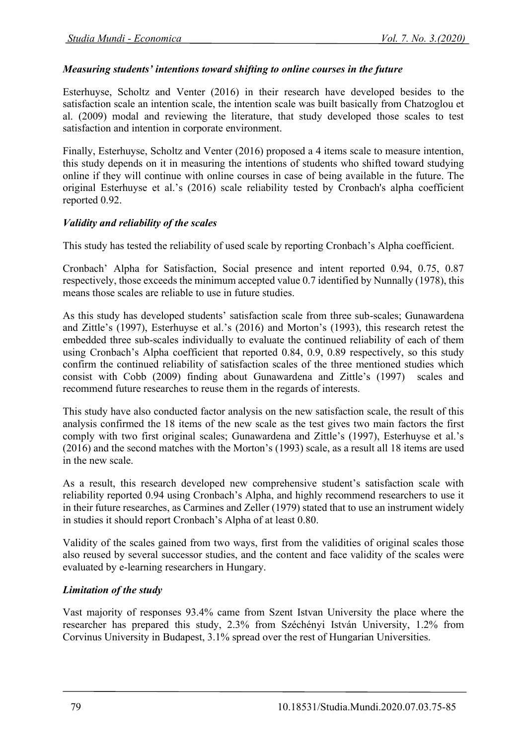#### *Measuring students' intentions toward shifting to online courses in the future*

Esterhuyse, Scholtz and Venter (2016) in their research have developed besides to the satisfaction scale an intention scale, the intention scale was built basically from Chatzoglou et al. (2009) modal and reviewing the literature, that study developed those scales to test satisfaction and intention in corporate environment.

Finally, Esterhuyse, Scholtz and Venter (2016) proposed a 4 items scale to measure intention, this study depends on it in measuring the intentions of students who shifted toward studying online if they will continue with online courses in case of being available in the future. The original Esterhuyse et al.'s (2016) scale reliability tested by Cronbach's alpha coefficient reported 0.92.

#### *Validity and reliability of the scales*

This study has tested the reliability of used scale by reporting Cronbach's Alpha coefficient.

Cronbach' Alpha for Satisfaction, Social presence and intent reported 0.94, 0.75, 0.87 respectively, those exceeds the minimum accepted value 0.7 identified by Nunnally (1978), this means those scales are reliable to use in future studies.

As this study has developed students' satisfaction scale from three sub-scales; Gunawardena and Zittle's (1997), Esterhuyse et al.'s (2016) and Morton's (1993), this research retest the embedded three sub-scales individually to evaluate the continued reliability of each of them using Cronbach's Alpha coefficient that reported 0.84, 0.9, 0.89 respectively, so this study confirm the continued reliability of satisfaction scales of the three mentioned studies which consist with Cobb (2009) finding about Gunawardena and Zittle's (1997) scales and recommend future researches to reuse them in the regards of interests.

This study have also conducted factor analysis on the new satisfaction scale, the result of this analysis confirmed the 18 items of the new scale as the test gives two main factors the first comply with two first original scales; Gunawardena and Zittle's (1997), Esterhuyse et al.'s (2016) and the second matches with the Morton's (1993) scale, as a result all 18 items are used in the new scale.

As a result, this research developed new comprehensive student's satisfaction scale with reliability reported 0.94 using Cronbach's Alpha, and highly recommend researchers to use it in their future researches, as Carmines and Zeller (1979) stated that to use an instrument widely in studies it should report Cronbach's Alpha of at least 0.80.

Validity of the scales gained from two ways, first from the validities of original scales those also reused by several successor studies, and the content and face validity of the scales were evaluated by e-learning researchers in Hungary.

#### *Limitation of the study*

Vast majority of responses 93.4% came from Szent Istvan University the place where the researcher has prepared this study, 2.3% from Széchényi István University, 1.2% from Corvinus University in Budapest, 3.1% spread over the rest of Hungarian Universities.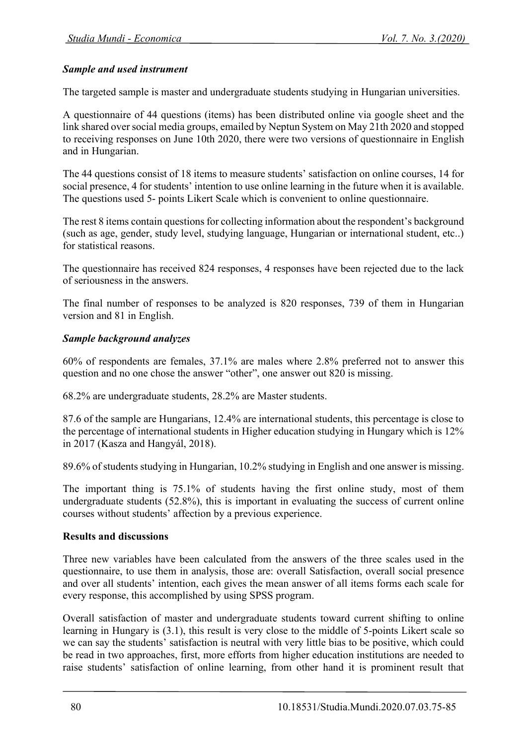### *Sample and used instrument*

The targeted sample is master and undergraduate students studying in Hungarian universities.

A questionnaire of 44 questions (items) has been distributed online via google sheet and the link shared over social media groups, emailed by Neptun System on May 21th 2020 and stopped to receiving responses on June 10th 2020, there were two versions of questionnaire in English and in Hungarian.

The 44 questions consist of 18 items to measure students' satisfaction on online courses, 14 for social presence, 4 for students' intention to use online learning in the future when it is available. The questions used 5- points Likert Scale which is convenient to online questionnaire.

The rest 8 items contain questions for collecting information about the respondent's background (such as age, gender, study level, studying language, Hungarian or international student, etc..) for statistical reasons.

The questionnaire has received 824 responses, 4 responses have been rejected due to the lack of seriousness in the answers.

The final number of responses to be analyzed is 820 responses, 739 of them in Hungarian version and 81 in English.

#### *Sample background analyzes*

60% of respondents are females, 37.1% are males where 2.8% preferred not to answer this question and no one chose the answer "other", one answer out 820 is missing.

68.2% are undergraduate students, 28.2% are Master students.

87.6 of the sample are Hungarians, 12.4% are international students, this percentage is close to the percentage of international students in Higher education studying in Hungary which is 12% in 2017 (Kasza and Hangyál, 2018).

89.6% of students studying in Hungarian, 10.2% studying in English and one answer is missing.

The important thing is 75.1% of students having the first online study, most of them undergraduate students (52.8%), this is important in evaluating the success of current online courses without students' affection by a previous experience.

#### **Results and discussions**

Three new variables have been calculated from the answers of the three scales used in the questionnaire, to use them in analysis, those are: overall Satisfaction, overall social presence and over all students' intention, each gives the mean answer of all items forms each scale for every response, this accomplished by using SPSS program.

Overall satisfaction of master and undergraduate students toward current shifting to online learning in Hungary is (3.1), this result is very close to the middle of 5-points Likert scale so we can say the students' satisfaction is neutral with very little bias to be positive, which could be read in two approaches, first, more efforts from higher education institutions are needed to raise students' satisfaction of online learning, from other hand it is prominent result that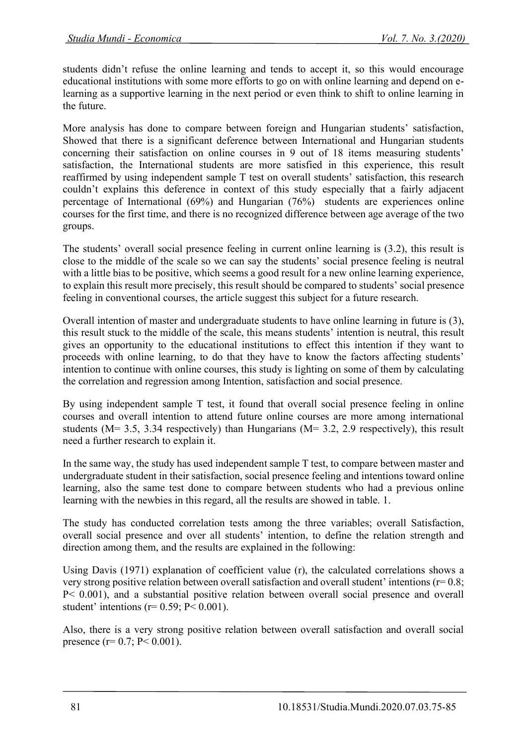students didn't refuse the online learning and tends to accept it, so this would encourage educational institutions with some more efforts to go on with online learning and depend on elearning as a supportive learning in the next period or even think to shift to online learning in the future.

More analysis has done to compare between foreign and Hungarian students' satisfaction, Showed that there is a significant deference between International and Hungarian students concerning their satisfaction on online courses in 9 out of 18 items measuring students' satisfaction, the International students are more satisfied in this experience, this result reaffirmed by using independent sample T test on overall students' satisfaction, this research couldn't explains this deference in context of this study especially that a fairly adjacent percentage of International (69%) and Hungarian (76%) students are experiences online courses for the first time, and there is no recognized difference between age average of the two groups.

The students' overall social presence feeling in current online learning is (3.2), this result is close to the middle of the scale so we can say the students' social presence feeling is neutral with a little bias to be positive, which seems a good result for a new online learning experience, to explain this result more precisely, this result should be compared to students' social presence feeling in conventional courses, the article suggest this subject for a future research.

Overall intention of master and undergraduate students to have online learning in future is (3), this result stuck to the middle of the scale, this means students' intention is neutral, this result gives an opportunity to the educational institutions to effect this intention if they want to proceeds with online learning, to do that they have to know the factors affecting students' intention to continue with online courses, this study is lighting on some of them by calculating the correlation and regression among Intention, satisfaction and social presence.

By using independent sample T test, it found that overall social presence feeling in online courses and overall intention to attend future online courses are more among international students (M= 3.5, 3.34 respectively) than Hungarians (M= 3.2, 2.9 respectively), this result need a further research to explain it.

In the same way, the study has used independent sample T test, to compare between master and undergraduate student in their satisfaction, social presence feeling and intentions toward online learning, also the same test done to compare between students who had a previous online learning with the newbies in this regard, all the results are showed in table. 1.

The study has conducted correlation tests among the three variables; overall Satisfaction, overall social presence and over all students' intention, to define the relation strength and direction among them, and the results are explained in the following:

Using Davis (1971) explanation of coefficient value (r), the calculated correlations shows a very strong positive relation between overall satisfaction and overall student' intentions ( $r= 0.8$ ; P< 0.001), and a substantial positive relation between overall social presence and overall student' intentions ( $r= 0.59$ ;  $P< 0.001$ ).

Also, there is a very strong positive relation between overall satisfaction and overall social presence (r=  $0.7$ ; P<  $0.001$ ).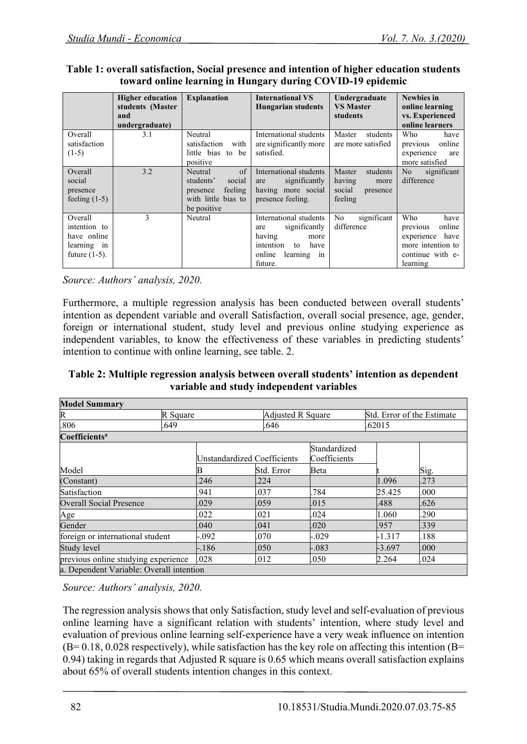#### **Table 1: overall satisfaction, Social presence and intention of higher education students toward online learning in Hungary during COVID-19 epidemic**

|                                                                           | <b>Higher education</b><br>students (Master<br>and<br>undergraduate) | <b>Explanation</b>                                                                                        | <b>International VS</b><br><b>Hungarian students</b>                                                                               | Undergraduate<br><b>VS Master</b><br>students                         | <b>Newbies</b> in<br>online learning<br>vs. Experienced<br>online learners                                   |  |
|---------------------------------------------------------------------------|----------------------------------------------------------------------|-----------------------------------------------------------------------------------------------------------|------------------------------------------------------------------------------------------------------------------------------------|-----------------------------------------------------------------------|--------------------------------------------------------------------------------------------------------------|--|
| Overall<br>satisfaction<br>$(1-5)$                                        | 3.1                                                                  | Neutral<br>satisfaction<br>with<br>little bias to be<br>positive                                          | International students<br>are significantly more<br>satisfied.                                                                     | Master<br>students<br>are more satisfied                              | Who<br>have<br>previous<br>online<br>experience<br>are<br>more satisfied                                     |  |
| Overall<br>social<br>presence<br>feeling $(1-5)$                          | 3.2                                                                  | $\sigma$ f<br>Neutral<br>students'<br>social<br>feeling<br>presence<br>with little bias to<br>be positive | International students<br>significantly<br>are<br>having more social<br>presence feeling.                                          | Master<br>students<br>having<br>more<br>social<br>presence<br>feeling | N <sub>o</sub><br>significant<br>difference                                                                  |  |
| Overall<br>intention to<br>have online<br>learning in<br>future $(1-5)$ . | 3                                                                    | Neutral                                                                                                   | International students<br>significantly<br>are<br>having<br>more<br>intention<br>have<br>to<br>online<br>learning<br>1n<br>future. | significant<br>No<br>difference                                       | Who<br>have<br>online<br>previous<br>experience<br>have<br>more intention to<br>continue with e-<br>learning |  |

*Source: Authors' analysis, 2020.*

Furthermore, a multiple regression analysis has been conducted between overall students' intention as dependent variable and overall Satisfaction, overall social presence, age, gender, foreign or international student, study level and previous online studying experience as independent variables, to know the effectiveness of these variables in predicting students' intention to continue with online learning, see table. 2.

### **Table 2: Multiple regression analysis between overall students' intention as dependent variable and study independent variables**

| <b>Model Summary</b>                     |          |                             |      |                              |         |                            |          |      |
|------------------------------------------|----------|-----------------------------|------|------------------------------|---------|----------------------------|----------|------|
| R                                        | R Square |                             |      | <b>Adjusted R Square</b>     |         | Std. Error of the Estimate |          |      |
| .806                                     | .649     |                             | .646 |                              | .62015  |                            |          |      |
| Coefficients <sup>a</sup>                |          |                             |      |                              |         |                            |          |      |
|                                          |          | Unstandardized Coefficients |      | Standardized<br>Coefficients |         |                            |          |      |
| Model                                    |          |                             |      | Std. Error                   | Beta    |                            |          | Sig. |
| (Constant)                               |          | .246                        |      | .224                         |         | 1.096                      |          | .273 |
| Satisfaction                             |          | .941                        |      | .037                         | .784    |                            | 25.425   | .000 |
| <b>Overall Social Presence</b>           |          | .029                        |      | .059                         | .015    | .488                       |          | .626 |
| Age                                      |          | .022                        |      | .021                         | .024    | 1.060                      |          | .290 |
| Gender                                   |          | .040                        |      | .041                         | .020    | .957                       |          | .339 |
| foreign or international student         |          | $-0.092$                    |      | .070                         | $-.029$ |                            | $-1.317$ | .188 |
| Study level                              |          | $-.186$                     |      | .050                         | $-.083$ |                            | $-3.697$ | .000 |
| previous online studying experience      |          | .028                        |      | .012                         | .050    | 2.264                      |          | .024 |
| a. Dependent Variable: Overall intention |          |                             |      |                              |         |                            |          |      |

*Source: Authors' analysis, 2020.*

The regression analysis shows that only Satisfaction, study level and self-evaluation of previous online learning have a significant relation with students' intention, where study level and evaluation of previous online learning self-experience have a very weak influence on intention  $(B= 0.18, 0.028$  respectively), while satisfaction has the key role on affecting this intention  $(B= 0.18, 0.028)$ 0.94) taking in regards that Adjusted R square is 0.65 which means overall satisfaction explains about 65% of overall students intention changes in this context.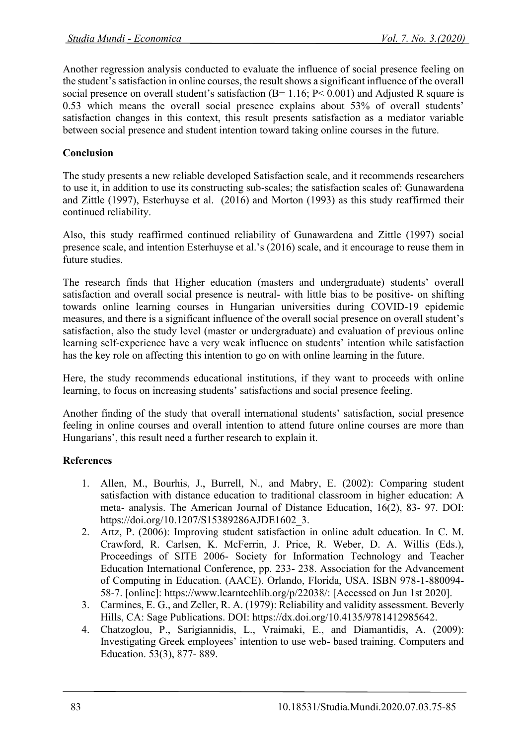Another regression analysis conducted to evaluate the influence of social presence feeling on the student's satisfaction in online courses, the result shows a significant influence of the overall social presence on overall student's satisfaction ( $B = 1.16$ ;  $P < 0.001$ ) and Adjusted R square is 0.53 which means the overall social presence explains about 53% of overall students' satisfaction changes in this context, this result presents satisfaction as a mediator variable between social presence and student intention toward taking online courses in the future.

## **Conclusion**

The study presents a new reliable developed Satisfaction scale, and it recommends researchers to use it, in addition to use its constructing sub-scales; the satisfaction scales of: Gunawardena and Zittle (1997), Esterhuyse et al. (2016) and Morton (1993) as this study reaffirmed their continued reliability.

Also, this study reaffirmed continued reliability of Gunawardena and Zittle (1997) social presence scale, and intention Esterhuyse et al.'s (2016) scale, and it encourage to reuse them in future studies.

The research finds that Higher education (masters and undergraduate) students' overall satisfaction and overall social presence is neutral- with little bias to be positive- on shifting towards online learning courses in Hungarian universities during COVID-19 epidemic measures, and there is a significant influence of the overall social presence on overall student's satisfaction, also the study level (master or undergraduate) and evaluation of previous online learning self-experience have a very weak influence on students' intention while satisfaction has the key role on affecting this intention to go on with online learning in the future.

Here, the study recommends educational institutions, if they want to proceeds with online learning, to focus on increasing students' satisfactions and social presence feeling.

Another finding of the study that overall international students' satisfaction, social presence feeling in online courses and overall intention to attend future online courses are more than Hungarians', this result need a further research to explain it.

## **References**

- 1. Allen, M., Bourhis, J., Burrell, N., and Mabry, E. (2002): Comparing student satisfaction with distance education to traditional classroom in higher education: A meta- analysis. The American Journal of Distance Education, 16(2), 83- 97. DOI: https://doi.org/10.1207/S15389286AJDE1602\_3.
- 2. Artz, P. (2006): Improving student satisfaction in online adult education. In C. M. Crawford, R. Carlsen, K. McFerrin, J. Price, R. Weber, D. A. Willis (Eds.), Proceedings of SITE 2006- Society for Information Technology and Teacher Education International Conference, pp. 233- 238. Association for the Advancement of Computing in Education. (AACE). Orlando, Florida, USA. ISBN 978-1-880094- 58-7. [online]: https://www.learntechlib.org/p/22038/: [Accessed on Jun 1st 2020].
- 3. Carmines, E. G., and Zeller, R. A. (1979): Reliability and validity assessment. Beverly Hills, CA: Sage Publications. DOI: https://dx.doi.org/10.4135/9781412985642.
- 4. Chatzoglou, P., Sarigiannidis, L., Vraimaki, E., and Diamantidis, A. (2009): Investigating Greek employees' intention to use web- based training. Computers and Education. 53(3), 877- 889.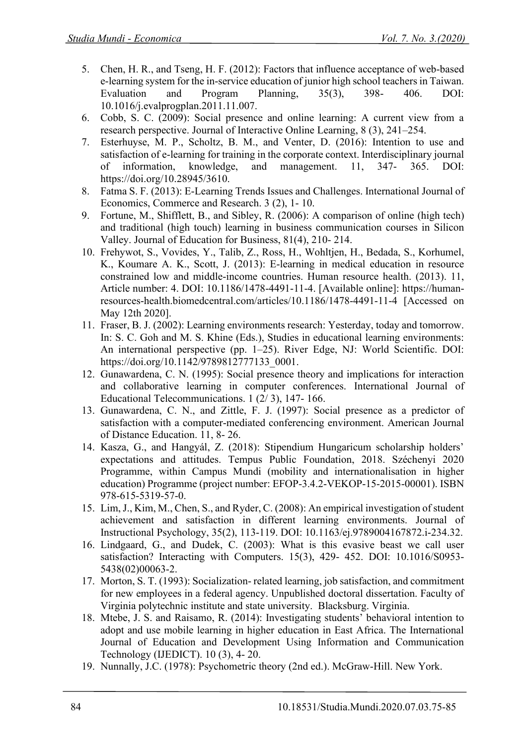- 5. Chen, H. R., and Tseng, H. F. (2012): Factors that influence acceptance of web-based e-learning system for the in-service education of junior high school teachers in Taiwan. Evaluation and Program Planning, 35(3), 398- 406. DOI: 10.1016/j.evalprogplan.2011.11.007.
- 6. Cobb, S. C. (2009): Social presence and online learning: A current view from a research perspective. Journal of Interactive Online Learning, 8 (3), 241–254.
- 7. Esterhuyse, M. P., Scholtz, B. M., and Venter, D. (2016): Intention to use and satisfaction of e-learning for training in the corporate context. Interdisciplinary journal of information, knowledge, and management. 11, 347- 365. DOI: https://doi.org/10.28945/3610.
- 8. Fatma S. F. (2013): E-Learning Trends Issues and Challenges. International Journal of Economics, Commerce and Research. 3 (2), 1- 10.
- 9. Fortune, M., Shifflett, B., and Sibley, R. (2006): A comparison of online (high tech) and traditional (high touch) learning in business communication courses in Silicon Valley. Journal of Education for Business, 81(4), 210- 214.
- 10. Frehywot, S., Vovides, Y., Talib, Z., Ross, H., Wohltjen, H., Bedada, S., Korhumel, K., Koumare A. K., Scott, J. (2013): E-learning in medical education in resource constrained low and middle-income countries. Human resource health. (2013). 11, Article number: 4. DOI: 10.1186/1478-4491-11-4. [Available online]: https://humanresources-health.biomedcentral.com/articles/10.1186/1478-4491-11-4 [Accessed on May 12th 2020].
- 11. Fraser, B. J. (2002): Learning environments research: Yesterday, today and tomorrow. In: S. C. Goh and M. S. Khine (Eds.), Studies in educational learning environments: An international perspective (pp. 1–25). River Edge, NJ: World Scientific. DOI: https://doi.org/10.1142/9789812777133\_0001.
- 12. Gunawardena, C. N. (1995): Social presence theory and implications for interaction and collaborative learning in computer conferences. International Journal of Educational Telecommunications. 1 (2/ 3), 147- 166.
- 13. Gunawardena, C. N., and Zittle, F. J. (1997): Social presence as a predictor of satisfaction with a computer-mediated conferencing environment. American Journal of Distance Education. 11, 8- 26.
- 14. Kasza, G., and Hangyál, Z. (2018): Stipendium Hungaricum scholarship holders' expectations and attitudes. Tempus Public Foundation, 2018. Széchenyi 2020 Programme, within Campus Mundi (mobility and internationalisation in higher education) Programme (project number: EFOP-3.4.2-VEKOP-15-2015-00001). ISBN 978-615-5319-57-0.
- 15. Lim, J., Kim, M., Chen, S., and Ryder, C. (2008): An empirical investigation of student achievement and satisfaction in different learning environments. Journal of Instructional Psychology, 35(2), 113-119. DOI: 10.1163/ej.9789004167872.i-234.32.
- 16. Lindgaard, G., and Dudek, C. (2003): What is this evasive beast we call user satisfaction? Interacting with Computers. 15(3), 429- 452. DOI: 10.1016/S0953- 5438(02)00063-2.
- 17. Morton, S. T. (1993): Socialization- related learning, job satisfaction, and commitment for new employees in a federal agency. Unpublished doctoral dissertation. Faculty of Virginia polytechnic institute and state university. Blacksburg. Virginia.
- 18. Mtebe, J. S. and Raisamo, R. (2014): Investigating students' behavioral intention to adopt and use mobile learning in higher education in East Africa. The International Journal of Education and Development Using Information and Communication Technology (IJEDICT). 10 (3), 4- 20.
- 19. Nunnally, J.C. (1978): Psychometric theory (2nd ed.). McGraw-Hill. New York.